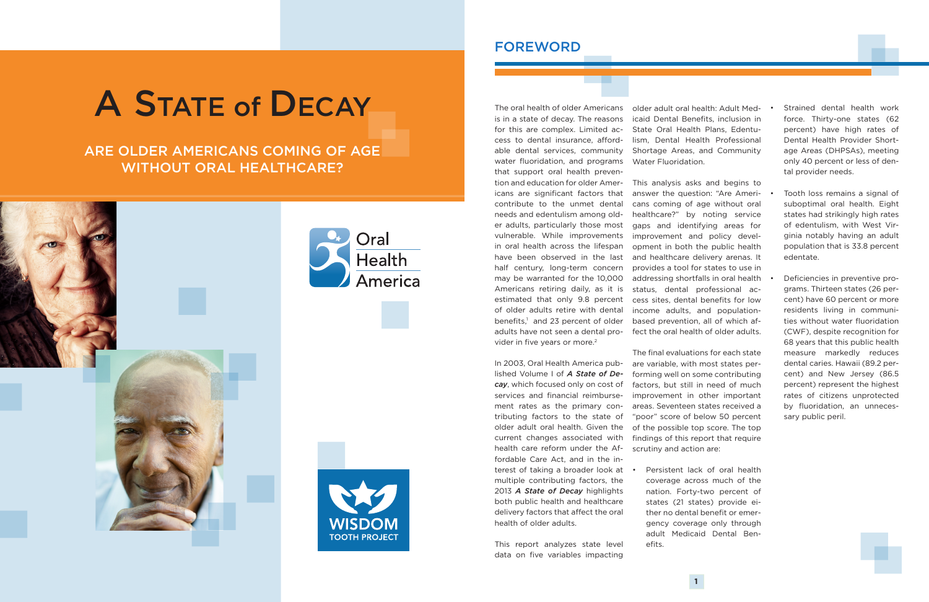# A STATE of DECAY

# ARE OLDER AMERICANS COMING OF AGE WITHOUT ORAL HEALTHCARE?







is in a state of decay. The reasons for this are complex. Limited access to dental insurance, affordable dental services, community water fluoridation, and programs that support oral health prevention and education for older Americans are significant factors that contribute to the unmet dental needs and edentulism among older adults, particularly those most vulnerable. While improvements in oral health across the lifespan have been observed in the last half century, long-term concern may be warranted for the 10,000 Americans retiring daily, as it is estimated that only 9.8 percent of older adults retire with dental benefits,<sup>1</sup> and 23 percent of older vider in five years or more.<sup>2</sup>

The oral health of older Americans older adult oral health: Adult Medicaid Dental Benefits, inclusion in State Oral Health Plans, Edentulism, Dental Health Professional Shortage Areas, and Community Water Fluoridation.

In 2003, Oral Health America published Volume I of *A State of Decay*, which focused only on cost of services and financial reimbursement rates as the primary contributing factors to the state of older adult oral health. Given the current changes associated with health care reform under the Affordable Care Act, and in the interest of taking a broader look at . multiple contributing factors, the 2013 *A State of Decay* highlights both public health and healthcare delivery factors that affect the oral health of older adults.

Persistent lack of oral health coverage across much of the nation. Forty-two percent of states (21 states) provide either no dental benefit or emergency coverage only through adult Medicaid Dental Ben-

This report analyzes state level data on five variables impacting

adults have not seen a dental pro-fect the oral health of older adults. This analysis asks and begins to answer the question: "Are Americans coming of age without oral healthcare?" by noting service gaps and identifying areas for improvement and policy development in both the public health and healthcare delivery arenas. It provides a tool for states to use in addressing shortfalls in oral health status, dental professional access sites, dental benefits for low income adults, and populationbased prevention, all of which af-

- Strained dental health work force. Thirty-one states (62 percent) have high rates of Dental Health Provider Shortage Areas (DHPSAs), meeting only 40 percent or less of dental provider needs.
- Tooth loss remains a signal of suboptimal oral health. Eight states had strikingly high rates of edentulism, with West Virginia notably having an adult population that is 33.8 percent edentate.
- Deficiencies in preventive programs. Thirteen states (26 percent) have 60 percent or more residents living in communities without water fluoridation (CWF), despite recognition for 68 years that this public health measure markedly reduces dental caries. Hawaii (89.2 percent) and New Jersey (86.5 percent) represent the highest rates of citizens unprotected by fluoridation, an unnecessary public peril.

The final evaluations for each state are variable, with most states performing well on some contributing factors, but still in need of much improvement in other important areas. Seventeen states received a "poor" score of below 50 percent of the possible top score. The top findings of this report that require scrutiny and action are:

efits.

## FOREWORD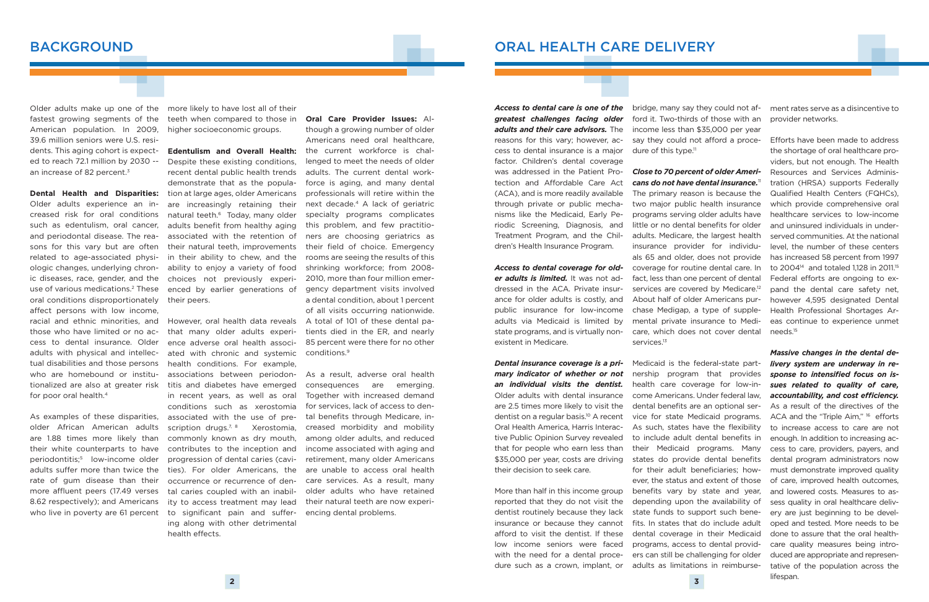## **BACKGROUND**

Older adults make up one of the fastest growing segments of the American population. In 2009, 39.6 million seniors were U.S. residents. This aging cohort is expected to reach 72.1 million by 2030 - an increase of 82 percent.<sup>3</sup>

**Dental Health and Disparities:** Older adults experience an increased risk for oral conditions such as edentulism, oral cancer, and periodontal disease. The reasons for this vary but are often related to age-associated physiologic changes, underlying chronic diseases, race, gender, and the use of various medications.2 These oral conditions disproportionately affect persons with low income, racial and ethnic minorities, and those who have limited or no access to dental insurance. Older adults with physical and intellectual disabilities and those persons who are homebound or institutionalized are also at greater risk for poor oral health.4

As examples of these disparities, older African American adults are 1.88 times more likely than their white counterparts to have periodontitis;5 low-income older adults suffer more than twice the rate of gum disease than their more affluent peers (17.49 verses 8.62 respectively); and Americans who live in poverty are 61 percent

more likely to have lost all of their teeth when compared to those in higher socioeconomic groups.

**Edentulism and Overall Health:**  Despite these existing conditions, recent dental public health trends demonstrate that as the population at large ages, older Americans are increasingly retaining their natural teeth.<sup>6</sup> Today, many older adults benefit from healthy aging associated with the retention of their natural teeth, improvements in their ability to chew, and the ability to enjoy a variety of food choices not previously experienced by earlier generations of their peers.

However, oral health data reveals that many older adults experience adverse oral health associated with chronic and systemic health conditions. For example, associations between periodontitis and diabetes have emerged in recent years, as well as oral conditions such as xerostomia associated with the use of prescription drugs.<sup>7, 8</sup> Xerostomia. commonly known as dry mouth, contributes to the inception and progression of dental caries (cavities). For older Americans, the occurrence or recurrence of dental caries coupled with an inability to access treatment may lead to significant pain and suffering along with other detrimental health effects.

*cans do not have dental insurance.*<sup>11</sup> The primary reason is because the two major public health insurance programs serving older adults have little or no dental benefits for older adults. Medicare, the largest health insurance provider for individuals 65 and older, does not provide coverage for routine dental care. In fact, less than one percent of dental services are covered by Medicare.<sup>12</sup> About half of older Americans purchase Medigap, a type of supplemental private insurance to Medicare, which does not cover dental services.<sup>13</sup>

**Oral Care Provider Issues:** Although a growing number of older Americans need oral healthcare, the current workforce is challenged to meet the needs of older adults. The current dental workforce is aging, and many dental professionals will retire within the next decade.4 A lack of geriatric specialty programs complicates this problem, and few practitioners are choosing geriatrics as their field of choice. Emergency rooms are seeing the results of this shrinking workforce; from 2008- 2010, more than four million emergency department visits involved a dental condition, about 1 percent of all visits occurring nationwide. A total of 101 of these dental patients died in the ER, and nearly 85 percent were there for no other conditions.9

As a result, adverse oral health consequences are emerging. Together with increased demand for services, lack of access to dental benefits through Medicare, increased morbidity and mobility among older adults, and reduced income associated with aging and retirement, many older Americans are unable to access oral health care services. As a result, many older adults who have retained their natural teeth are now experiencing dental problems.

*Access to dental care is one of the greatest challenges facing older adults and their care advisors.* The reasons for this vary; however, access to dental insurance is a major factor. Children's dental coverage was addressed in the Patient Protection and Affordable Care Act (ACA), and is more readily available through private or public mechanisms like the Medicaid, Early Periodic Screening, Diagnosis, and Treatment Program, and the Children's Health Insurance Program.

*Access to dental coverage for older adults is limited.* It was not addressed in the ACA. Private insurance for older adults is costly, and public insurance for low-income adults via Medicaid is limited by state programs, and is virtually nonexistent in Medicare.

*Dental insurance coverage is a primary indicator of whether or not an individual visits the dentist.* Older adults with dental insurance are 2.5 times more likely to visit the dentist on a regular basis.10 A recent Oral Health America, Harris Interactive Public Opinion Survey revealed that for people who earn less than \$35,000 per year, costs are driving their decision to seek care.

More than half in this income group reported that they do not visit the dentist routinely because they lack insurance or because they cannot afford to visit the dentist. If these low income seniors were faced with the need for a dental procedure such as a crown, implant, or dure of this type.<sup>11</sup>

bridge, many say they could not afford it. Two-thirds of those with an income less than \$35,000 per year say they could not afford a proce-

# *Close to 70 percent of older Ameri-*

Medicaid is the federal-state partnership program that provides health care coverage for low-income Americans. Under federal law, dental benefits are an optional service for state Medicaid programs. As such, states have the flexibility to include adult dental benefits in their Medicaid programs. Many states do provide dental benefits for their adult beneficiaries; however, the status and extent of those benefits vary by state and year, depending upon the availability of state funds to support such benefits. In states that do include adult dental coverage in their Medicaid programs, access to dental providers can still be challenging for older adults as limitations in reimbursement rates serve as a disincentive to provider networks.

Efforts have been made to address the shortage of oral healthcare providers, but not enough. The Health Resources and Services Administration (HRSA) supports Federally Qualified Health Centers (FQHCs), which provide comprehensive oral healthcare services to low-income and uninsured individuals in underserved communities. At the national level, the number of these centers has increased 58 percent from 1997 to 2004<sup>14</sup> and totaled 1,128 in 2011.<sup>15</sup> Federal efforts are ongoing to expand the dental care safety net, however 4,595 designated Dental Health Professional Shortages Areas continue to experience unmet needs.15

*Massive changes in the dental delivery system are underway in response to intensified focus on issues related to quality of care, accountability, and cost efficiency.* As a result of the directives of the ACA and the "Triple Aim," <sup>16</sup> efforts to increase access to care are not enough. In addition to increasing access to care, providers, payers, and dental program administrators now must demonstrate improved quality of care, improved health outcomes, and lowered costs. Measures to assess quality in oral healthcare delivery are just beginning to be developed and tested. More needs to be done to assure that the oral healthcare quality measures being introduced are appropriate and representative of the population across the lifespan.

# ORAL HEALTH CARE DELIVERY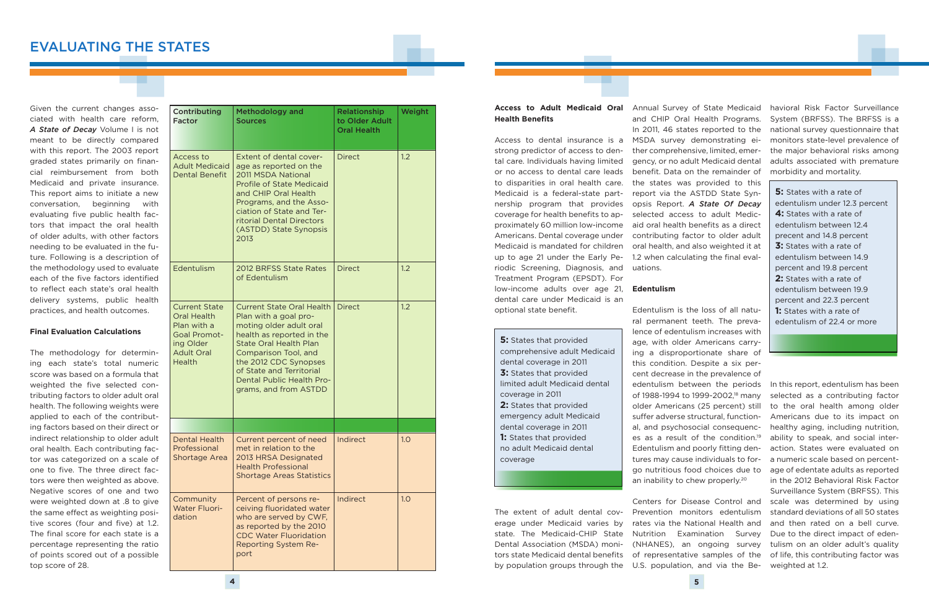Given the current changes associated with health care reform, *A State of Decay* Volume I is not meant to be directly compared with this report. The 2003 report graded states primarily on financial reimbursement from both Medicaid and private insurance. This report aims to initiate a new conversation, beginning with evaluating five public health factors that impact the oral health of older adults, with other factors needing to be evaluated in the future. Following is a description of the methodology used to evaluate each of the five factors identified to reflect each state's oral health delivery systems, public health practices, and health outcomes.

#### **Final Evaluation Calculations**

The methodology for determining each state's total numeric score was based on a formula that weighted the five selected contributing factors to older adult oral health. The following weights were applied to each of the contributing factors based on their direct or indirect relationship to older adult oral health. Each contributing factor was categorized on a scale of one to five. The three direct factors were then weighted as above. Negative scores of one and two were weighted down at .8 to give the same effect as weighting positive scores (four and five) at 1.2. The final score for each state is a percentage representing the ratio of points scored out of a possible top score of 28.

Edentulism is the loss of all natural permanent teeth. The prevalence of edentulism increases with age, with older Americans carrying a disproportionate share of this condition. Despite a six percent decrease in the prevalence of edentulism between the periods of 1988-1994 to 1999-2002,<sup>18</sup> many suffer adverse structural, functional, and psychosocial consequences as a result of the condition.<sup>19</sup> Edentulism and poorly fitting dentures may cause individuals to forgo nutritious food choices due to an inability to chew properly.<sup>20</sup>

| <b>Contributing</b><br><b>Factor</b>                                                                                                | <b>Methodology and</b><br><b>Sources</b>                                                                                                                                                                                                                                              | <b>Relationship</b><br>to Older Adult<br><b>Oral Health</b> | Weight |
|-------------------------------------------------------------------------------------------------------------------------------------|---------------------------------------------------------------------------------------------------------------------------------------------------------------------------------------------------------------------------------------------------------------------------------------|-------------------------------------------------------------|--------|
| Access to<br><b>Adult Medicaid</b><br><b>Dental Benefit</b>                                                                         | Extent of dental cover-<br>age as reported on the<br>2011 MSDA National<br><b>Profile of State Medicaid</b><br>and CHIP Oral Health<br>Programs, and the Asso-<br>ciation of State and Ter-<br>ritorial Dental Directors<br>(ASTDD) State Synopsis<br>2013                            | <b>Direct</b>                                               |        |
| Edentulism                                                                                                                          | 2012 BRFSS State Rates<br>of Edentulism                                                                                                                                                                                                                                               | <b>Direct</b>                                               | 1.2    |
| <b>Current State</b><br><b>Oral Health</b><br>Plan with a<br><b>Goal Promot-</b><br>ing Older<br><b>Adult Oral</b><br><b>Health</b> | <b>Current State Oral Health</b><br>Plan with a goal pro-<br>moting older adult oral<br>health as reported in the<br><b>State Oral Health Plan</b><br>Comparison Tool, and<br>the 2012 CDC Synopses<br>of State and Territorial<br>Dental Public Health Pro-<br>grams, and from ASTDD | <b>Direct</b>                                               | 1.2    |
|                                                                                                                                     |                                                                                                                                                                                                                                                                                       |                                                             |        |
| <b>Dental Health</b><br>Professional<br>Shortage Area                                                                               | Current percent of need<br>met in relation to the<br>2013 HRSA Designated<br><b>Health Professional</b><br><b>Shortage Areas Statistics</b>                                                                                                                                           | Indirect                                                    | 1.0    |
| Community<br><b>Water Fluori-</b><br>dation                                                                                         | Percent of persons re-<br>ceiving fluoridated water<br>who are served by CWF,<br>as reported by the 2010<br><b>CDC Water Fluoridation</b><br><b>Reporting System Re-</b><br>port                                                                                                      | Indirect                                                    | 1.0    |

# **Health Benefits**

Access to dental insurance is a strong predictor of access to dental care. Individuals having limited or no access to dental care leads to disparities in oral health care. Medicaid is a federal-state partnership program that provides coverage for health benefits to approximately 60 million low-income Americans. Dental coverage under Medicaid is mandated for children up to age 21 under the Early Periodic Screening, Diagnosis, and Treatment Program (EPSDT). For low-income adults over age 21, dental care under Medicaid is an optional state benefit.

**5:** States that provided comprehensive adult Medicaid dental coverage in 2011 **3:** States that provided limited adult Medicaid dental coverage in 2011 **2:** States that provided emergency adult Medicaid dental coverage in 2011 **1:** States that provided no adult Medicaid dental coverage

**Access to Adult Medicaid Oral**  Annual Survey of State Medicaid and CHIP Oral Health Programs. In 2011, 46 states reported to the MSDA survey demonstrating either comprehensive, limited, emergency, or no adult Medicaid dental benefit. Data on the remainder of the states was provided to this report via the ASTDD State Synopsis Report. *A State Of Decay* selected access to adult Medicaid oral health benefits as a direct contributing factor to older adult oral health, and also weighted it at 1.2 when calculating the final evaluations.

#### **Edentulism**

The extent of adult dental coverage under Medicaid varies by state. The Medicaid-CHIP State Dental Association (MSDA) monitors state Medicaid dental benefits by population groups through the U.S. population, and via the Be-

Prevention monitors edentulism rates via the National Health and Nutrition Examination Survey

havioral Risk Factor Surveillance System (BRFSS). The BRFSS is a national survey questionnaire that monitors state-level prevalence of the major behavioral risks among adults associated with premature morbidity and mortality.

older Americans (25 percent) still to the oral health among older Centers for Disease Control and scale was determined by using (NHANES), an ongoing survey tulism on an older adult's quality of representative samples of the of life, this contributing factor was In this report, edentulism has been selected as a contributing factor Americans due to its impact on healthy aging, including nutrition, ability to speak, and social interaction. States were evaluated on a numeric scale based on percentage of edentate adults as reported in the 2012 Behavioral Risk Factor Surveillance System (BRFSS). This standard deviations of all 50 states and then rated on a bell curve. Due to the direct impact of edenweighted at 1.2.

**5:** States with a rate of edentulism under 12.3 percent **4:** States with a rate of edentulism between 12.4 precent and 14.8 percent **3:** States with a rate of edentulism between 14.9 percent and 19.8 percent **2:** States with a rate of edentulism between 19.9 percent and 22.3 percent **1:** States with a rate of edentulism of 22.4 or more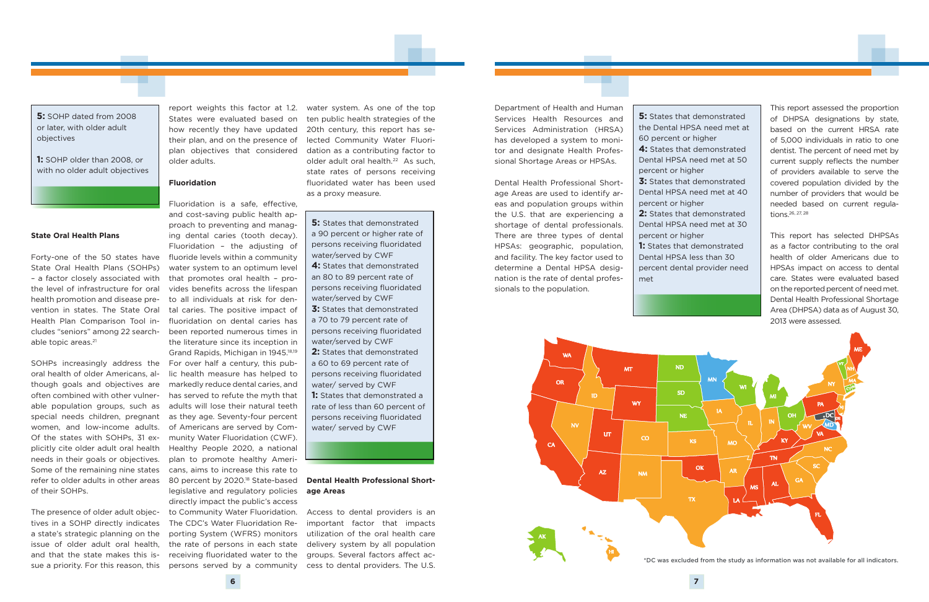#### **State Oral Health Plans**

State Oral Health Plans (SOHPs) – a factor closely associated with the level of infrastructure for oral health promotion and disease prevention in states. The State Oral Health Plan Comparison Tool includes "seniors" among 22 searchable topic areas.<sup>21</sup>

tives in a SOHP directly indicates a state's strategic planning on the issue of older adult oral health, and that the state makes this issue a priority. For this reason, this persons served by a community cess to dental providers. The U.S.

SOHPs increasingly address the oral health of older Americans, although goals and objectives are often combined with other vulnerable population groups, such as special needs children, pregnant women, and low-income adults. Of the states with SOHPs, 31 explicitly cite older adult oral health needs in their goals or objectives. Some of the remaining nine states refer to older adults in other areas of their SOHPs.

States were evaluated based on how recently they have updated their plan, and on the presence of plan objectives that considered older adults.

#### **Fluoridation**

Forty-one of the 50 states have fluoride levels within a community The presence of older adult objec-to Community Water Fluoridation. Fluoridation is a safe, effective, and cost-saving public health approach to preventing and managing dental caries (tooth decay). Fluoridation – the adjusting of water system to an optimum level that promotes oral health – provides benefits across the lifespan to all individuals at risk for dental caries. The positive impact of fluoridation on dental caries has been reported numerous times in the literature since its inception in Grand Rapids, Michigan in 1945.18,19 For over half a century, this public health measure has helped to markedly reduce dental caries, and has served to refute the myth that adults will lose their natural teeth as they age. Seventy-four percent of Americans are served by Community Water Fluoridation (CWF). Healthy People 2020, a national plan to promote healthy Americans, aims to increase this rate to 80 percent by 2020.<sup>18</sup> State-based legislative and regulatory policies directly impact the public's access The CDC's Water Fluoridation Reporting System (WFRS) monitors the rate of persons in each state receiving fluoridated water to the

**5:** States that demonstrated a 90 percent or higher rate of persons receiving fluoridated water/served by CWF **4:** States that demonstrated an 80 to 89 percent rate of persons receiving fluoridated water/served by CWF **3:** States that demonstrated

report weights this factor at 1.2. water system. As one of the top ten public health strategies of the 20th century, this report has selected Community Water Fluoridation as a contributing factor to older adult oral health.<sup>22</sup> As such, state rates of persons receiving fluoridated water has been used as a proxy measure.

#### **Dental Health Professional Shortage Areas**

Access to dental providers is an important factor that impacts utilization of the oral health care delivery system by all population groups. Several factors affect ac-

**5:** SOHP dated from 2008 or later, with older adult objectives

**1:** SOHP older than 2008, or with no older adult objectives

> a 70 to 79 percent rate of persons receiving fluoridated water/served by CWF **2:** States that demonstrated

> a 60 to 69 percent rate of persons receiving fluoridated water/ served by CWF

**1:** States that demonstrated a rate of less than 60 percent of persons receiving fluoridated water/ served by CWF

Department of Health and Human Services Health Resources and Services Administration (HRSA) has developed a system to monitor and designate Health Professional Shortage Areas or HPSAs.

Dental Health Professional Shortage Areas are used to identify areas and population groups within the U.S. that are experiencing a shortage of dental professionals. There are three types of dental HPSAs: geographic, population, and facility. The key factor used to determine a Dental HPSA designation is the rate of dental professionals to the population.

This report assessed the proportion of DHPSA designations by state, based on the current HRSA rate of 5,000 individuals in ratio to one dentist. The percent of need met by current supply reflects the number of providers available to serve the covered population divided by the number of providers that would be needed based on current regulations.26, 27, 28

This report has selected DHPSAs as a factor contributing to the oral health of older Americans due to HPSAs impact on access to dental care. States were evaluated based on the reported percent of need met. Dental Health Professional Shortage Area (DHPSA) data as of August 30, 2013 were assessed.

**5:** States that demonstrated the Dental HPSA need met at

- **4:** States that demonstrated Dental HPSA need met at 50
- **3:** States that demonstrated Dental HPSA need met at 40
- **2:** States that demonstrated Dental HPSA need met at 30
- **1:** States that demonstrated Dental HPSA less than 30
	-

60 percent or higher percent or higher percent or higher percent or higher percent dental provider need met

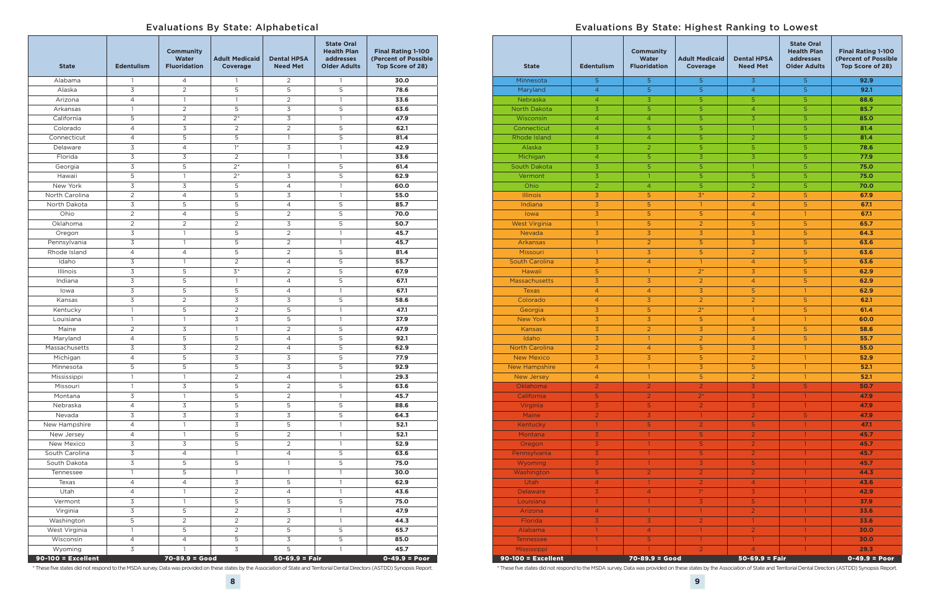### Evaluations By State: Alphabetical

| <b>State</b>                    | <b>Edentulism</b>                | <b>Community</b><br><b>Water</b><br><b>Fluoridation</b> | <b>Adult Medicaid</b><br><b>Coverage</b> | <b>Dental HPSA</b><br><b>Need Met</b> | <b>State Oral</b><br><b>Health Plan</b><br><b>addresses</b><br><b>Older Adults</b> | <b>Final Rating 1-100</b><br>(Percent of Possible<br>Top Score of 28) |
|---------------------------------|----------------------------------|---------------------------------------------------------|------------------------------------------|---------------------------------------|------------------------------------------------------------------------------------|-----------------------------------------------------------------------|
| Alabama                         | $\mathbf{1}$                     | 4                                                       | $\mathbf{1}$                             | 2                                     | $\mathbf{1}$                                                                       | 30.0                                                                  |
| Alaska                          | 3                                | $\overline{2}$                                          | 5                                        | 5                                     | 5                                                                                  | 78.6                                                                  |
| Arizona                         | $\overline{4}$                   | $\mathbf{1}$                                            | $\mathbf{1}$                             | $\overline{2}$                        | $\mathbf{1}$                                                                       | 33.6                                                                  |
| Arkansas                        | $\mathbf{1}$                     | $\overline{2}$                                          | 5                                        | 3                                     | 5                                                                                  | 63.6                                                                  |
| California                      | 5                                | $\overline{2}$                                          | $2*$                                     | 3                                     | $\mathbf{1}$                                                                       | 47.9                                                                  |
| Colorado                        | $\overline{4}$                   | 3                                                       | $\overline{2}$                           | $\overline{2}$                        | 5                                                                                  | 62.1                                                                  |
| Connecticut                     | $\overline{4}$                   | 5                                                       | 5                                        | $\mathbf{1}$                          | 5                                                                                  | 81.4                                                                  |
| Delaware                        | 3                                | $\overline{4}$                                          | $1*$                                     | 3                                     | $\mathbf{1}$                                                                       | 42.9                                                                  |
| Florida                         | $\overline{3}$                   | 3                                                       | $\overline{2}$                           | $\mathbf{1}$                          | $\mathbf{1}$                                                                       | 33.6                                                                  |
| Georgia                         | 3                                | 5                                                       | $2*$                                     | $\mathbf{1}$                          | 5                                                                                  | 61.4                                                                  |
| Hawaii                          | 5                                | $\mathbf{1}$                                            | $2*$                                     | 3                                     | 5                                                                                  | 62.9                                                                  |
| New York                        | 3                                | 3                                                       | 5                                        | $\overline{4}$                        | $\mathbf{1}$                                                                       | 60.0                                                                  |
| North Carolina                  | $\overline{2}$                   | 4                                                       | 5                                        | 3                                     | $\mathbf{1}$                                                                       | 55.0                                                                  |
| North Dakota                    | $\mathsf 3$                      | 5                                                       | 5                                        | $\overline{4}$                        | 5                                                                                  | 85.7                                                                  |
| Ohio                            | $\sqrt{2}$                       | $\overline{4}$                                          | 5                                        | 2                                     | 5                                                                                  | 70.0                                                                  |
| Oklahoma                        | $\overline{2}$                   | $\overline{2}$                                          | $\overline{2}$                           | 3                                     | 5                                                                                  | 50.7                                                                  |
|                                 | $\mathsf 3$                      | $\mathbf{1}$                                            | 5                                        | $\overline{2}$                        | $\mathbf{1}$                                                                       | 45.7                                                                  |
| Oregon                          |                                  | $\mathbf{1}$                                            |                                          |                                       | $\mathbf{1}$                                                                       |                                                                       |
| Pennsylvania                    | $\overline{\mathsf{S}}$          |                                                         | 5                                        | $\overline{c}$                        |                                                                                    | 45.7                                                                  |
| Rhode Island                    | $\overline{4}$                   | $\overline{4}$                                          | 5                                        | 2                                     | 5                                                                                  | 81.4                                                                  |
| Idaho                           | $\overline{\mathsf{S}}$          | $\mathbf{1}$                                            | $\overline{2}$                           | $\overline{4}$                        | 5                                                                                  | 55.7                                                                  |
| Illinois                        | $\overline{\mathsf{S}}$          | 5                                                       | $3*$                                     | 2                                     | 5                                                                                  | 67.9                                                                  |
| Indiana                         | $\overline{\mathsf{S}}$          | 5                                                       | $\mathbf{1}$                             | $\overline{4}$                        | 5                                                                                  | 67.1                                                                  |
| lowa                            | $\overline{\mathsf{S}}$          | 5                                                       | 5                                        | 4                                     | $\mathbf{1}$                                                                       | 67.1                                                                  |
| Kansas                          | 3                                | $\overline{2}$                                          | 3                                        | 3                                     | 5                                                                                  | 58.6                                                                  |
| Kentucky                        | $\mathbf{1}$                     | 5                                                       | 2                                        | 5                                     | $\mathbf{1}$                                                                       | 47.1                                                                  |
| Louisiana                       | $\mathbf{1}$                     | $\mathbf{1}$                                            | 3                                        | 5                                     | $\mathbf{1}$                                                                       | 37.9                                                                  |
| Maine                           | $\overline{2}$                   | 3                                                       | $\mathbf{1}$                             | $\overline{2}$                        | 5                                                                                  | 47.9                                                                  |
| Maryland                        | $\overline{4}$                   | 5                                                       | 5                                        | $\overline{4}$                        | 5                                                                                  | 92.1                                                                  |
| Massachusetts                   | 3                                | 3                                                       | $\overline{2}$                           | $\overline{4}$                        | 5                                                                                  | 62.9                                                                  |
| Michigan                        | $\overline{4}$                   | 5                                                       | 3                                        | 3                                     | 5                                                                                  | 77.9                                                                  |
| Minnesota                       | 5                                | 5                                                       | 5                                        | 3                                     | 5                                                                                  | 92.9                                                                  |
| Mississippi                     | $\mathbf{1}$                     | $\mathbf{1}$                                            | $\overline{2}$                           | $\overline{4}$                        | 1                                                                                  | 29.3                                                                  |
| Missouri                        | $\mathbf{1}$                     | 3                                                       | 5                                        | 2                                     | 5                                                                                  | 63.6                                                                  |
| Montana                         | $\overline{3}$                   | $\mathbf{1}$                                            | 5                                        | 2                                     | $\mathbf{1}$                                                                       | 45.7                                                                  |
| Nebraska                        | $\overline{4}$                   | 3                                                       | 5                                        | 5                                     | 5                                                                                  | 88.6                                                                  |
| Nevada                          | 3                                | 3                                                       | 3                                        | 3                                     | 5                                                                                  | 64.3                                                                  |
| New Hampshire                   | $\overline{4}$                   | $\mathbf{1}$                                            | 3                                        | 5                                     | $\mathbf{1}$                                                                       | 52.1                                                                  |
| New Jersey                      | $\overline{4}$                   | $\mathbf{1}$                                            | 5                                        | $\overline{c}$                        | 1                                                                                  | 52.1                                                                  |
| New Mexico                      | $\overline{3}$                   | 3                                                       | $\mathsf S$                              | $\overline{c}$                        | $\mathbf{1}$                                                                       | 52.9                                                                  |
| South Carolina                  | $\overline{3}$                   | 4                                                       | $\mathbf{1}$                             | 4                                     | 5                                                                                  | 63.6                                                                  |
| South Dakota                    | $\mathfrak{Z}$                   | 5                                                       | 5                                        | $\mathbf{1}$                          | 5                                                                                  | 75.0                                                                  |
| Tennessee                       | $\mathbf{1}$                     | 5                                                       | $\mathbf{1}$                             | $\mathbf{1}$                          | $\mathbf{1}$                                                                       | $\overline{3}0.0$                                                     |
| Texas                           | $\overline{4}$                   | $\overline{4}$                                          | $\overline{3}$                           | 5                                     | $\mathbf{1}$                                                                       | 62.9                                                                  |
| Utah                            | $\overline{4}$                   | $\mathbf{1}$                                            | $\overline{2}$                           | $\overline{4}$                        | $\mathbf{1}$                                                                       | 43.6                                                                  |
| Vermont                         | $\mathfrak{Z}$                   | $\mathbf{1}$                                            | 5                                        | 5                                     | 5                                                                                  | 75.0                                                                  |
| Virginia                        | 3                                | 5                                                       | $\overline{2}$                           | 3                                     | $\mathbf{1}$                                                                       | 47.9                                                                  |
| Washington                      | 5                                | $\overline{2}$                                          | $\overline{2}$                           | $\overline{2}$                        | $\mathbf{1}$                                                                       | 44.3                                                                  |
| West Virginia                   | $\mathbf{1}$                     | 5                                                       | $\overline{2}$                           | 5                                     | $\mathsf S$                                                                        | 65.7                                                                  |
| Wisconsin                       |                                  | $\overline{4}$                                          | $\overline{\mathbf{5}}$                  | 3                                     | $\mathsf S$                                                                        |                                                                       |
|                                 | $\overline{4}$<br>$\overline{3}$ |                                                         | 3                                        | 5                                     |                                                                                    | 85.0<br>45.7                                                          |
| Wyoming<br>$90-100 =$ Excellent |                                  | $\mathbf{1}$<br>$70 - 89.9 = Good$                      |                                          | $50 - 69.9 = Fair$                    | $\mathbf{1}$                                                                       | $0 - 49.9 = Poor$                                                     |

| <b>State</b>          | <b>Edentulism</b> | <b>Community</b><br><b>Water</b><br><b>Fluoridation</b> | <b>Adult Medicaid</b><br>Coverage | <b>Dental HPSA</b><br><b>Need Met</b> | <b>State Oral</b><br><b>Health Plan</b><br><b>addresses</b><br><b>Older Adults</b> | <b>Final Rating 1-100</b><br>(Percent of Possible<br>Top Score of 28) |
|-----------------------|-------------------|---------------------------------------------------------|-----------------------------------|---------------------------------------|------------------------------------------------------------------------------------|-----------------------------------------------------------------------|
| Minnesota             | 5                 | 5                                                       | 5                                 | $\overline{3}$                        | 5                                                                                  | 92.9                                                                  |
| Maryland              | $\overline{4}$    | 5                                                       | 5                                 | $\overline{4}$                        | 5                                                                                  | 92.1                                                                  |
| Nebraska              | $\overline{4}$    | 3                                                       | 5                                 | 5                                     | 5                                                                                  | 88.6                                                                  |
| <b>North Dakota</b>   | 3                 | 5                                                       | 5                                 | $\overline{4}$                        | 5                                                                                  | 85.7                                                                  |
| Wisconsin             | $\overline{4}$    | $\overline{4}$                                          | 5                                 | 3                                     | 5                                                                                  | 85.0                                                                  |
| Connecticut           | 4                 | 5                                                       | 5                                 | 1                                     | 5                                                                                  | 81.4                                                                  |
| Rhode Island          | $\overline{4}$    | $\overline{4}$                                          | 5                                 | $\overline{2}$                        | 5                                                                                  | 81.4                                                                  |
| Alaska                | 3                 | $\overline{2}$                                          | 5                                 | 5                                     | 5                                                                                  | 78.6                                                                  |
| Michigan              | $\overline{4}$    | 5                                                       | $\overline{3}$                    | 3                                     | 5                                                                                  | 77.9                                                                  |
| South Dakota          | 3                 | 5                                                       | 5                                 | $\mathbf{1}$                          | 5                                                                                  | 75.0                                                                  |
| Vermont               | 3                 | $\mathbf{1}$                                            | 5                                 | 5                                     | 5                                                                                  | 75.0                                                                  |
| Ohio                  | $\overline{2}$    | $\overline{4}$                                          | 5                                 | $\overline{2}$                        | 5                                                                                  | 70.0                                                                  |
| <b>Illinois</b>       | 3                 | 5                                                       | $3*$                              | $\overline{2}$                        | 5                                                                                  | 67.9                                                                  |
| Indiana               | $\overline{3}$    | 5                                                       | $\mathbf{1}$                      | $\overline{4}$                        | 5                                                                                  | 67.1                                                                  |
| lowa                  | $\overline{3}$    | 5                                                       | 5                                 | $\overline{4}$                        | $\mathbf{1}$                                                                       | 67.1                                                                  |
| <b>West Virginia</b>  | $\mathbf{1}$      | 5                                                       | $\overline{2}$                    | 5                                     | 5                                                                                  | 65.7                                                                  |
| <b>Nevada</b>         | $\overline{3}$    | $\overline{3}$                                          | $\overline{3}$                    | $\overline{3}$                        | 5                                                                                  | 64.3                                                                  |
| <b>Arkansas</b>       | 1                 | $\overline{2}$                                          | 5                                 | $\overline{3}$                        | 5                                                                                  | 63.6                                                                  |
| Missouri              | $\overline{1}$    | 3                                                       | 5                                 | $\overline{2}$                        | 5                                                                                  | 63.6                                                                  |
| <b>South Carolina</b> | 3                 | $\overline{4}$                                          | $\mathbf{1}$                      | $\overline{4}$                        | 5                                                                                  | 63.6                                                                  |
| Hawaii                | 5                 | $\mathbf{1}$                                            | $2^*$                             | $\overline{3}$                        | 5                                                                                  | 62.9                                                                  |
| Massachusetts         | $\overline{3}$    | $\overline{3}$                                          | $\overline{2}$                    | $\overline{4}$                        | 5                                                                                  | 62.9                                                                  |
| <b>Texas</b>          | $\overline{4}$    | $\overline{4}$                                          | $\overline{3}$                    | 5                                     | $\mathbf{1}$                                                                       | 62.9                                                                  |
| Colorado              | $\overline{4}$    | $\overline{3}$                                          | $\overline{2}$                    | $\overline{2}$                        | 5                                                                                  | 62.1                                                                  |
| Georgia               | $\overline{3}$    | 5                                                       | $2^*$                             | $\mathbf{1}$                          | 5                                                                                  | 61.4                                                                  |
| <b>New York</b>       | $\overline{3}$    | $\overline{3}$                                          | 5                                 | $\overline{4}$                        | $\mathbf{1}$                                                                       | 60.0                                                                  |
| <b>Kansas</b>         | $\overline{3}$    | $\overline{2}$                                          | $\overline{3}$                    | 3                                     | 5                                                                                  | 58.6                                                                  |
| Idaho                 | $\overline{3}$    | $\mathbf{1}$                                            | $\overline{2}$                    | $\overline{4}$                        | 5                                                                                  | 55.7                                                                  |
| <b>North Carolina</b> | $\overline{2}$    | $\overline{4}$                                          | 5                                 | 3                                     | $\mathbf{1}$                                                                       | 55.0                                                                  |
| <b>New Mexico</b>     | $\overline{3}$    | $\overline{3}$                                          | 5                                 | $\overline{2}$                        | $\mathbf{1}$                                                                       | 52.9                                                                  |
| <b>New Hampshire</b>  | $\overline{4}$    | 1                                                       | 3                                 | 5                                     | $\mathbf{1}$                                                                       | 52.1                                                                  |
| New Jersey            | 4                 |                                                         | 5                                 | $\overline{2}$                        |                                                                                    | 52.1                                                                  |
| Oklahoma              | $\overline{2}$    | $\overline{2}$                                          | $\overline{2}$                    | $\overline{3}$                        | 5                                                                                  | 50.7                                                                  |
| California            | 5                 | $\overline{2}$                                          | $\overline{2^*}$                  | $\overline{3}$                        | $\mathbf{1}$                                                                       | 47.9                                                                  |
| Virginia              | 3                 | 5                                                       | $\overline{2}$                    | $\overline{3}$                        | $\mathbf{1}$                                                                       | 47.9                                                                  |
| Maine                 | $\overline{a}$    | $\overline{3}$                                          | $\mathbf{1}$                      | $\overline{2}$                        | 5                                                                                  | 47.9                                                                  |
| Kentucky              | $\mathbf{1}$      | 5                                                       | $\overline{2}$                    | $\overline{5}$                        | 1                                                                                  | 47.1                                                                  |
| Montana               | $\overline{3}$    | $\mathbf{1}$                                            | $\overline{5}$                    | $\overline{2}$                        | $\mathbf{1}$                                                                       | 45.7                                                                  |
| Oregon                | $\overline{3}$    | 1                                                       | $\overline{5}$                    | $\overline{2}$                        | $\mathbf{1}$                                                                       | 45.7                                                                  |
| Pennsylvania          | 3                 | $\mathbf{1}$                                            | 5                                 | $\overline{2}$                        | $\mathbf{1}$                                                                       | 45.7                                                                  |
| Wyoming               | 3                 | $\mathbf{1}$                                            | $\overline{3}$                    | $\overline{5}$                        | $\mathbf{1}$                                                                       | 45.7                                                                  |
| Washington            | 5                 | $\overline{2}$                                          | $\overline{2}$                    | $\overline{2}$                        | $\mathbf{1}$                                                                       | 44.3                                                                  |
| Utah                  | $\overline{4}$    | $\mathbf{1}$                                            | $\overline{2}$                    | $\overline{4}$                        | $\mathbf{1}$                                                                       | 43.6                                                                  |
| <b>Delaware</b>       | 3                 | $\overline{4}$                                          | $1*$                              | $\overline{3}$                        | $\mathbf{1}$                                                                       | 42.9                                                                  |
| Louisiana             | $\mathbf{1}$      | $\mathbf{1}$                                            | $\overline{3}$                    | 5                                     | $\mathbf{1}$                                                                       | 37.9                                                                  |
| Arizona               | $\overline{4}$    | $\mathbf{1}$                                            | $\mathbf{1}$                      | $\overline{2}$                        | $\mathbf{1}$                                                                       | 33.6                                                                  |
| Florida               | $\overline{3}$    | $\overline{3}$                                          | $\overline{2}$                    | $\mathbf{1}$                          | 1                                                                                  | 33.6                                                                  |
| Alabama               | 1                 | $\overline{4}$                                          | $\mathbf{1}$                      | $\overline{2}$                        | $\mathbf{1}$                                                                       | 30.0                                                                  |
| <b>Tennessee</b>      | 1                 | $\sqrt{5}$                                              | $\mathbf{1}$                      | $\mathbf{1}$                          | 1                                                                                  | 30.0                                                                  |
| Mississippi           | $\mathbf{1}$      |                                                         | $\overline{2}$                    | $\overline{4}$                        | $\mathbf{1}$                                                                       | 29.3                                                                  |
| $90-100 =$ Excellent  |                   | $70 - 89.9 = Good$                                      |                                   | $50 - 69.9 = Fair$                    |                                                                                    | $0 - 49.9 = Poor$                                                     |

### Evaluations By State: Highest Ranking to Lowest

\* These five states did not respond to the MSDA survey. Data was provided on these states by the Association of State and Territorial Dental Directors (ASTDD) Synopsis Report.

\* These five states did not respond to the MSDA survey. Data was provided on these states by the Association of State and Territorial Dental Directors (ASTDD) Synopsis Report.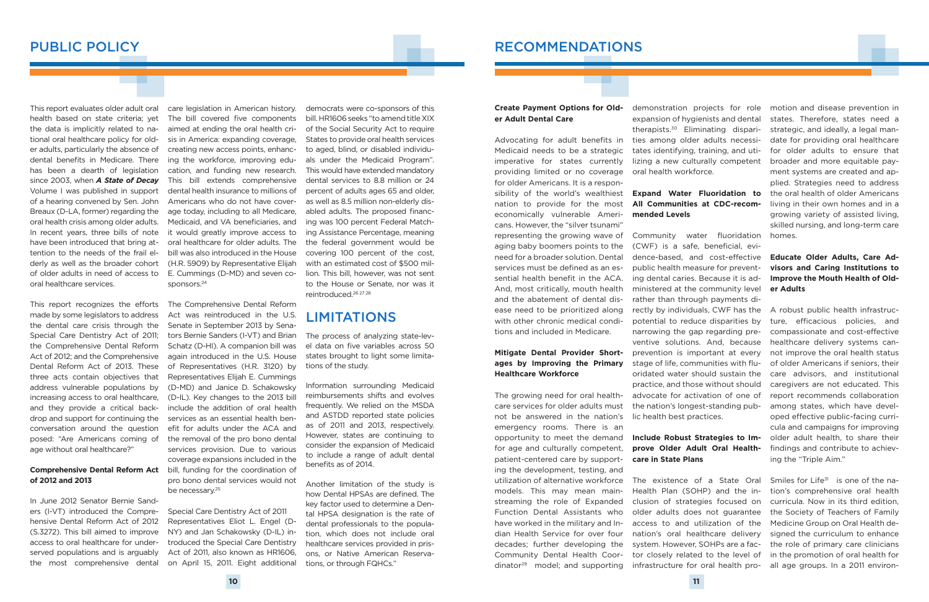This report evaluates older adult oral health based on state criteria; yet the data is implicitly related to national oral healthcare policy for older adults, particularly the absence of dental benefits in Medicare. There has been a dearth of legislation since 2003, when *A State of Decay* Volume I was published in support of a hearing convened by Sen. John Breaux (D-LA, former) regarding the oral health crisis among older adults. In recent years, three bills of note have been introduced that bring attention to the needs of the frail elderly as well as the broader cohort of older adults in need of access to oral healthcare services.

This report recognizes the efforts made by some legislators to address the dental care crisis through the Special Care Dentistry Act of 2011; the Comprehensive Dental Reform Act of 2012; and the Comprehensive Dental Reform Act of 2013. These three acts contain objectives that address vulnerable populations by increasing access to oral healthcare, and they provide a critical backdrop and support for continuing the conversation around the question posed: "Are Americans coming of age without oral healthcare?"

# **of 2012 and 2013**

In June 2012 Senator Bernie Sanders (I-VT) introduced the Comprehensive Dental Reform Act of 2012 (S.3272). This bill aimed to improve access to oral healthcare for underserved populations and is arguably the most comprehensive dental

care legislation in American history. The bill covered five components aimed at ending the oral health crisis in America: expanding coverage, creating new access points, enhancing the workforce, improving education, and funding new research. This bill extends comprehensive dental health insurance to millions of Americans who do not have coverage today, including to all Medicare, Medicaid, and VA beneficiaries, and it would greatly improve access to oral healthcare for older adults. The bill was also introduced in the House (H.R. 5909) by Representative Elijah E. Cummings (D-MD) and seven cosponsors.24

**Comprehensive Dental Reform Act**  bill, funding for the coordination of The Comprehensive Dental Reform Act was reintroduced in the U.S. Senate in September 2013 by Senators Bernie Sanders (I-VT) and Brian Schatz (D-HI). A companion bill was again introduced in the U.S. House of Representatives (H.R. 3120) by Representatives Elijah E. Cummings (D-MD) and Janice D. Schakowsky (D-IL). Key changes to the 2013 bill include the addition of oral health services as an essential health benefit for adults under the ACA and the removal of the pro bono dental services provision. Due to various coverage expansions included in the pro bono dental services would not be necessary.25

> Special Care Dentistry Act of 2011 Representatives Eliot L. Engel (D-NY) and Jan Schakowsky (D-IL) introduced the Special Care Dentistry Act of 2011, also known as HR1606, on April 15, 2011. Eight additional

democrats were co-sponsors of this bill. HR1606 seeks "to amend title XIX of the Social Security Act to require States to provide oral health services to aged, blind, or disabled individuals under the Medicaid Program". This would have extended mandatory dental services to 8.8 million or 24 percent of adults ages 65 and older, as well as 8.5 million non-elderly disabled adults. The proposed financing was 100 percent Federal Matching Assistance Percentage, meaning the federal government would be covering 100 percent of the cost, with an estimated cost of \$500 million. This bill, however, was not sent to the House or Senate, nor was it reintroduced.26 27 28

The process of analyzing state-level data on five variables across 50 states brought to light some limitations of the study.

Information surrounding Medicaid reimbursements shifts and evolves frequently. We relied on the MSDA and ASTDD reported state policies as of 2011 and 2013, respectively. However, states are continuing to consider the expansion of Medicaid to include a range of adult dental benefits as of 2014.

> Smiles for Life<sup>31</sup> is one of the nation's comprehensive oral health curricula. Now in its third edition, the Society of Teachers of Family Medicine Group on Oral Health designed the curriculum to enhance the role of primary care clinicians in the promotion of oral health for

Another limitation of the study is how Dental HPSAs are defined. The key factor used to determine a Dental HPSA designation is the rate of dental professionals to the population, which does not include oral healthcare services provided in prisons, or Native American Reservations, or through FQHCs."

## PUBLIC POLICY

#### **Create Payment Options for Older Adult Dental Care**

Advocating for adult benefits in Medicaid needs to be a strategic imperative for states currently providing limited or no coverage for older Americans. It is a responsibility of the world's wealthiest nation to provide for the most economically vulnerable Americans. However, the "silver tsunami" representing the growing wave of aging baby boomers points to the need for a broader solution. Dental services must be defined as an essential health benefit in the ACA. And, most critically, mouth health and the abatement of dental disease need to be prioritized along with other chronic medical conditions and included in Medicare.

#### **Mitigate Dental Provider Shortages by Improving the Primary Healthcare Workforce**

The growing need for oral healthcare services for older adults must not be answered in the nation's emergency rooms. There is an opportunity to meet the demand Include Robust Strategies to Imfor age and culturally competent, patient-centered care by supporting the development, testing, and utilization of alternative workforce models. This may mean mainstreaming the role of Expanded Function Dental Assistants who have worked in the military and Indian Health Service for over four decades; further developing the Community Dental Health Coordinator29 model; and supporting

demonstration projects for role expansion of hygienists and dental therapists.30 Eliminating disparities among older adults necessitates identifying, training, and utilizing a new culturally competent oral health workforce.

#### **Expand Water Fluoridation to All Communities at CDC-recommended Levels**

Community water fluoridation homes. (CWF) is a safe, beneficial, evidence-based, and cost-effective public health measure for preventing dental caries. Because it is administered at the community level rather than through payments directly by individuals, CWF has the potential to reduce disparities by narrowing the gap regarding preventive solutions. And, because prevention is important at every stage of life, communities with fluoridated water should sustain the practice, and those without should advocate for activation of one of the nation's longest-standing public health best practices.

# **prove Older Adult Oral Healthcare in State Plans**

motion and disease prevention in states. Therefore, states need a strategic, and ideally, a legal mandate for providing oral healthcare for older adults to ensure that broader and more equitable payment systems are created and applied. Strategies need to address the oral health of older Americans living in their own homes and in a growing variety of assisted living, skilled nursing, and long-term care

#### **Educate Older Adults, Care Advisors and Caring Institutions to Improve the Mouth Health of Older Adults**

The existence of a State Oral Health Plan (SOHP) and the inclusion of strategies focused on older adults does not guarantee access to and utilization of the nation's oral healthcare delivery system. However, SOHPs are a factor closely related to the level of infrastructure for oral health pro-all age groups. In a 2011 environ-

A robust public health infrastructure, efficacious policies, and compassionate and cost-effective healthcare delivery systems cannot improve the oral health status of older Americans if seniors, their care advisors, and institutional caregivers are not educated. This report recommends collaboration among states, which have developed effective public-facing curricula and campaigns for improving older adult health, to share their findings and contribute to achieving the "Triple Aim."

## RECOMMENDATIONS

## LIMITATIONS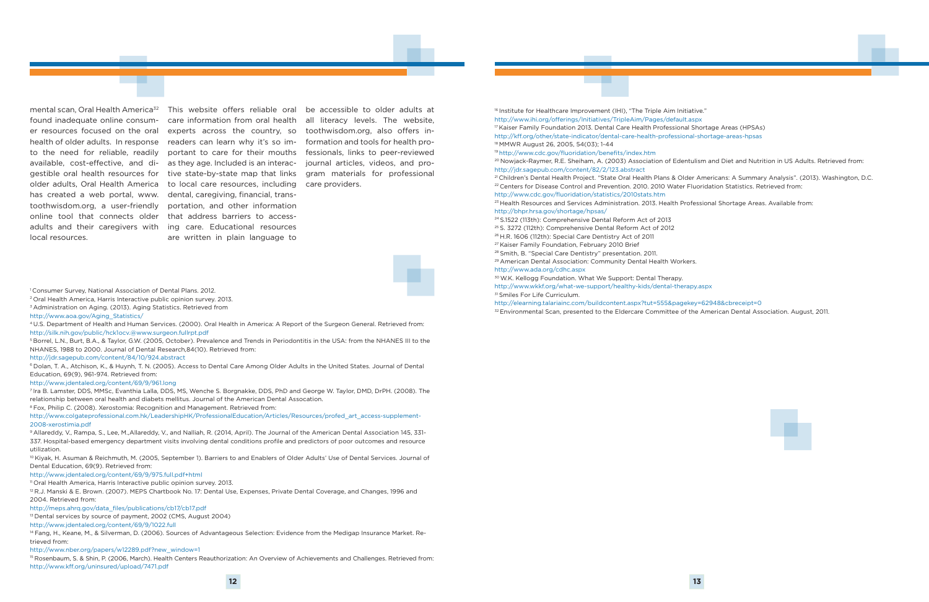found inadequate online consumer resources focused on the oral health of older adults. In response readers can learn why it's so imto the need for reliable, readily available, cost-effective, and di-as they age. Included is an interachas created a web portal, www. dental, caregiving, financial, transtoothwisdom.org, a user-friendly portation, and other information online tool that connects older that address barriers to accessadults and their caregivers with ing care. Educational resources local resources.

mental scan, Oral Health America<sup>32</sup> This website offers reliable oral be accessible to older adults at gestible oral health resources for tive state-by-state map that links gram materials for professional older adults, Oral Health America to local care resources, including care providers. care information from oral health experts across the country, so portant to care for their mouths are written in plain language to

<sup>16</sup> Institute for Healthcare Improvement (IHI), "The Triple Aim Initiative." http://www.ihi.org/offerings/Initiatives/TripleAim/Pages/default.aspx <sup>17</sup> Kaiser Family Foundation 2013. Dental Care Health Professional Shortage Areas (HPSAs) http://kff.org/other/state-indicator/dental-care-health-professional-shortage-areas-hpsas 18 MMWR August 26, 2005, 54(03); 1-44

<sup>20</sup> Nowjack-Raymer, R.E. Sheiham, A. (2003) Association of Edentulism and Diet and Nutrition in US Adults. Retrieved from: http://jdr.sagepub.com/content/82/2/123.abstract

all literacy levels. The website, toothwisdom.org, also offers information and tools for health professionals, links to peer-reviewed journal articles, videos, and pro-



<sup>1</sup> Consumer Survey, National Association of Dental Plans. 2012.

<sup>21</sup> Children's Dental Health Project. "State Oral Health Plans & Older Americans: A Summary Analysis". (2013). Washington, D.C. <sup>22</sup> Centers for Disease Control and Prevention. 2010. 2010 Water Fluoridation Statistics. Retrieved from: http://www.cdc.gov/fluoridation/statistics/2010stats.htm <sup>23</sup> Health Resources and Services Administration. 2013. Health Professional Shortage Areas. Available from: http://bhpr.hrsa.gov/shortage/hpsas/



30 W.K. Kellogg Foundation. What We Support: Dental Therapy. http://www.wkkf.org/what-we-support/healthy-kids/dental-therapy.aspx <sup>31</sup> Smiles For Life Curriculum.

19 http://www.cdc.gov/fluoridation/benefits/index.htm

24 S.1522 (113th): Comprehensive Dental Reform Act of 2013 25 S. 3272 (112th): Comprehensive Dental Reform Act of 2012 26 H.R. 1606 (112th): Special Care Dentistry Act of 2011 27 Kaiser Family Foundation, February 2010 Brief

10 Kiyak, H. Asuman & Reichmuth, M. (2005, September 1). Barriers to and Enablers of Older Adults' Use of Dental Services. Journal of Dental Education, 69(9). Retrieved from:

28 Smith, B. "Special Care Dentistry" presentation. 2011.

<sup>12</sup> R.J. Manski & E. Brown. (2007). MEPS Chartbook No. 17: Dental Use, Expenses, Private Dental Coverage, and Changes, 1996 and 2004. Retrieved from:

29 American Dental Association: Community Dental Health Workers. http://www.ada.org/cdhc.aspx

http://elearning.talariainc.com/buildcontent.aspx?tut=555&pagekey=62948&cbreceipt=0 32 Environmental Scan, presented to the Eldercare Committee of the American Dental Association. August, 2011.

2 Oral Health America, Harris Interactive public opinion survey. 2013.

<sup>3</sup> Administration on Aging. (2013). Aging Statistics. Retrieved from

http://www.aoa.gov/Aging\_Statistics/

4 U.S. Department of Health and Human Services. (2000). Oral Health in America: A Report of the Surgeon General. Retrieved from: http://silk.nih.gov/public/hck1ocv.@www.surgeon.fullrpt.pdf

5 Borrel, L.N., Burt, B.A., & Taylor, G.W. (2005, October). Prevalence and Trends in Periodontitis in the USA: from the NHANES III to the NHANES, 1988 to 2000. Journal of Dental Research,84(10). Retrieved from:

#### http://jdr.sagepub.com/content/84/10/924.abstract

6 Dolan, T. A., Atchison, K., & Huynh, T. N. (2005). Access to Dental Care Among Older Adults in the United States. Journal of Dental Education, 69(9), 961-974. Retrieved from:

http://www.jdentaled.org/content/69/9/961.long

7 Ira B. Lamster, DDS, MMSc, Evanthia Lalla, DDS, MS, Wenche S. Borgnakke, DDS, PhD and George W. Taylor, DMD, DrPH. (2008). The relationship between oral health and diabets mellitus. Journal of the American Dental Assocation.

8 Fox, Philip C. (2008). Xerostomia: Recognition and Management. Retrieved from:

http://www.colgateprofessional.com.hk/LeadershipHK/ProfessionalEducation/Articles/Resources/profed\_art\_access-supplement-2008-xerostimia.pdf

9 Allareddy, V., Rampa, S., Lee, M.,Allareddy, V., and Nalliah, R. (2014, April). The Journal of the American Dental Association 145, 331- 337. Hospital-based emergency department visits involving dental conditions profile and predictors of poor outcomes and resource utilization.

#### http://www.jdentaled.org/content/69/9/975.full.pdf+html

<sup>11</sup> Oral Health America, Harris Interactive public opinion survey. 2013.

http://meps.ahrq.gov/data\_files/publications/cb17/cb17.pdf

<sup>13</sup> Dental services by source of payment, 2002 (CMS, August 2004)

14 Fang, H., Keane, M., & Silverman, D. (2006). Sources of Advantageous Selection: Evidence from the Medigap Insurance Market. Retrieved from:

http://www.nber.org/papers/w12289.pdf?new\_window=1

15 Rosenbaum, S. & Shin, P. (2006, March). Health Centers Reauthorization: An Overview of Achievements and Challenges. Retrieved from: http://www.kff.org/uninsured/upload/7471.pdf

http://www.jdentaled.org/content/69/9/1022.full